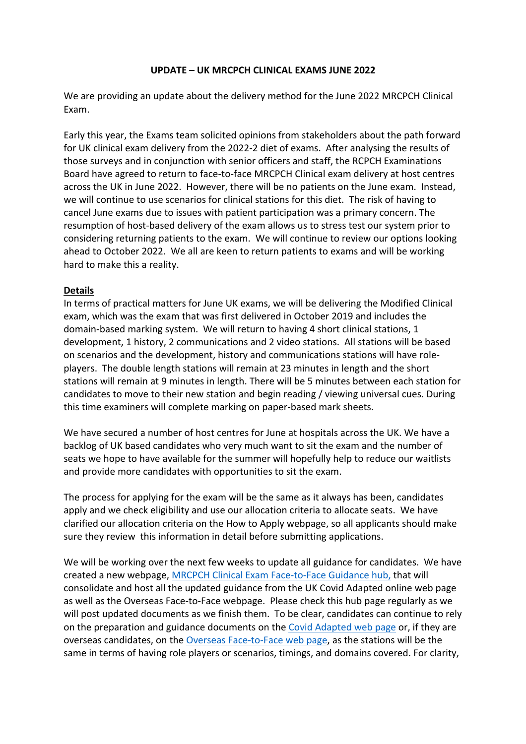## **UPDATE – UK MRCPCH CLINICAL EXAMS JUNE 2022**

We are providing an update about the delivery method for the June 2022 MRCPCH Clinical Exam.

Early this year, the Exams team solicited opinions from stakeholders about the path forward for UK clinical exam delivery from the 2022-2 diet of exams. After analysing the results of those surveys and in conjunction with senior officers and staff, the RCPCH Examinations Board have agreed to return to face-to-face MRCPCH Clinical exam delivery at host centres across the UK in June 2022. However, there will be no patients on the June exam. Instead, we will continue to use scenarios for clinical stations for this diet. The risk of having to cancel June exams due to issues with patient participation was a primary concern. The resumption of host-based delivery of the exam allows us to stress test our system prior to considering returning patients to the exam. We will continue to review our options looking ahead to October 2022. We all are keen to return patients to exams and will be working hard to make this a reality.

## **Details**

In terms of practical matters for June UK exams, we will be delivering the Modified Clinical exam, which was the exam that was first delivered in October 2019 and includes the domain-based marking system. We will return to having 4 short clinical stations, 1 development, 1 history, 2 communications and 2 video stations. All stations will be based on scenarios and the development, history and communications stations will have roleplayers. The double length stations will remain at 23 minutes in length and the short stations will remain at 9 minutes in length. There will be 5 minutes between each station for candidates to move to their new station and begin reading / viewing universal cues. During this time examiners will complete marking on paper-based mark sheets.

We have secured a number of host centres for June at hospitals across the UK. We have a backlog of UK based candidates who very much want to sit the exam and the number of seats we hope to have available for the summer will hopefully help to reduce our waitlists and provide more candidates with opportunities to sit the exam.

The process for applying for the exam will be the same as it always has been, candidates apply and we check eligibility and use our allocation criteria to allocate seats. We have clarified our allocation criteria on the How to Apply webpage, so all applicants should make sure they review this information in detail before submitting applications.

We will be working over the next few weeks to update all guidance for candidates. We have created a new webpage, MRCPCH Clinical Exam Face-to-Face Guidance hub, that will consolidate and host all the updated guidance from the UK Covid Adapted online web page as well as the Overseas Face-to-Face webpage. Please check this hub page regularly as we will post updated documents as we finish them. To be clear, candidates can continue to rely on the preparation and guidance documents on the Covid Adapted web page or, if they are overseas candidates, on the Overseas Face-to-Face web page, as the stations will be the same in terms of having role players or scenarios, timings, and domains covered. For clarity,